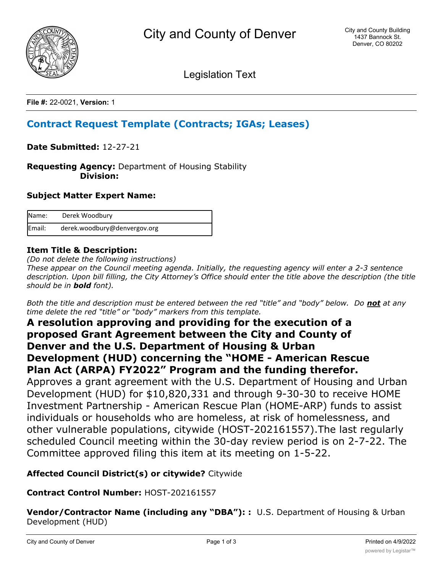

Legislation Text

**File #:** 22-0021, **Version:** 1

# **Contract Request Template (Contracts; IGAs; Leases)**

**Date Submitted:** 12-27-21

**Requesting Agency:** Department of Housing Stability  **Division:**

## **Subject Matter Expert Name:**

| Name:  | Derek Woodbury               |
|--------|------------------------------|
| Email: | derek.woodbury@denvergov.org |

## **Item Title & Description:**

*(Do not delete the following instructions)*

*These appear on the Council meeting agenda. Initially, the requesting agency will enter a 2-3 sentence description. Upon bill filling, the City Attorney's Office should enter the title above the description (the title should be in bold font).*

*Both the title and description must be entered between the red "title" and "body" below. Do not at any time delete the red "title" or "body" markers from this template.*

## **A resolution approving and providing for the execution of a proposed Grant Agreement between the City and County of Denver and the U.S. Department of Housing & Urban Development (HUD) concerning the "HOME - American Rescue Plan Act (ARPA) FY2022" Program and the funding therefor.**

Approves a grant agreement with the U.S. Department of Housing and Urban Development (HUD) for \$10,820,331 and through 9-30-30 to receive HOME Investment Partnership - American Rescue Plan (HOME-ARP) funds to assist individuals or households who are homeless, at risk of homelessness, and other vulnerable populations, citywide (HOST-202161557).The last regularly scheduled Council meeting within the 30-day review period is on 2-7-22. The Committee approved filing this item at its meeting on 1-5-22.

## **Affected Council District(s) or citywide?** Citywide

## **Contract Control Number:** HOST-202161557

**Vendor/Contractor Name (including any "DBA"): :** U.S. Department of Housing & Urban Development (HUD)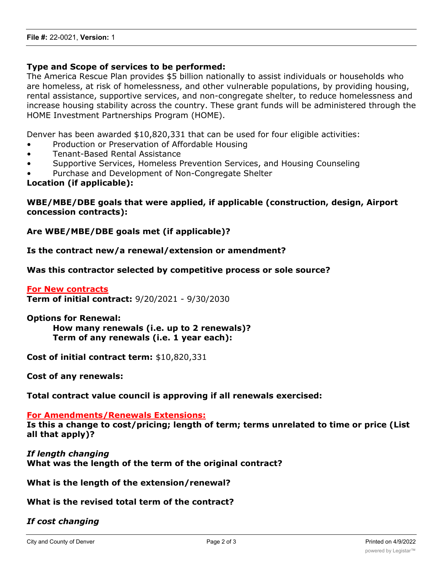### **Type and Scope of services to be performed:**

The America Rescue Plan provides \$5 billion nationally to assist individuals or households who are homeless, at risk of homelessness, and other vulnerable populations, by providing housing, rental assistance, supportive services, and non-congregate shelter, to reduce homelessness and increase housing stability across the country. These grant funds will be administered through the HOME Investment Partnerships Program (HOME).

Denver has been awarded \$10,820,331 that can be used for four eligible activities:

- Production or Preservation of Affordable Housing
- Tenant-Based Rental Assistance
- Supportive Services, Homeless Prevention Services, and Housing Counseling
- Purchase and Development of Non-Congregate Shelter

#### **Location (if applicable):**

## **WBE/MBE/DBE goals that were applied, if applicable (construction, design, Airport concession contracts):**

#### **Are WBE/MBE/DBE goals met (if applicable)?**

**Is the contract new/a renewal/extension or amendment?**

**Was this contractor selected by competitive process or sole source?**

**For New contracts Term of initial contract:** 9/20/2021 - 9/30/2030

**Options for Renewal:**

**How many renewals (i.e. up to 2 renewals)? Term of any renewals (i.e. 1 year each):**

**Cost of initial contract term:** \$10,820,331

**Cost of any renewals:**

**Total contract value council is approving if all renewals exercised:**

**For Amendments/Renewals Extensions:**

**Is this a change to cost/pricing; length of term; terms unrelated to time or price (List all that apply)?**

*If length changing* **What was the length of the term of the original contract?**

**What is the length of the extension/renewal?**

#### **What is the revised total term of the contract?**

## *If cost changing*